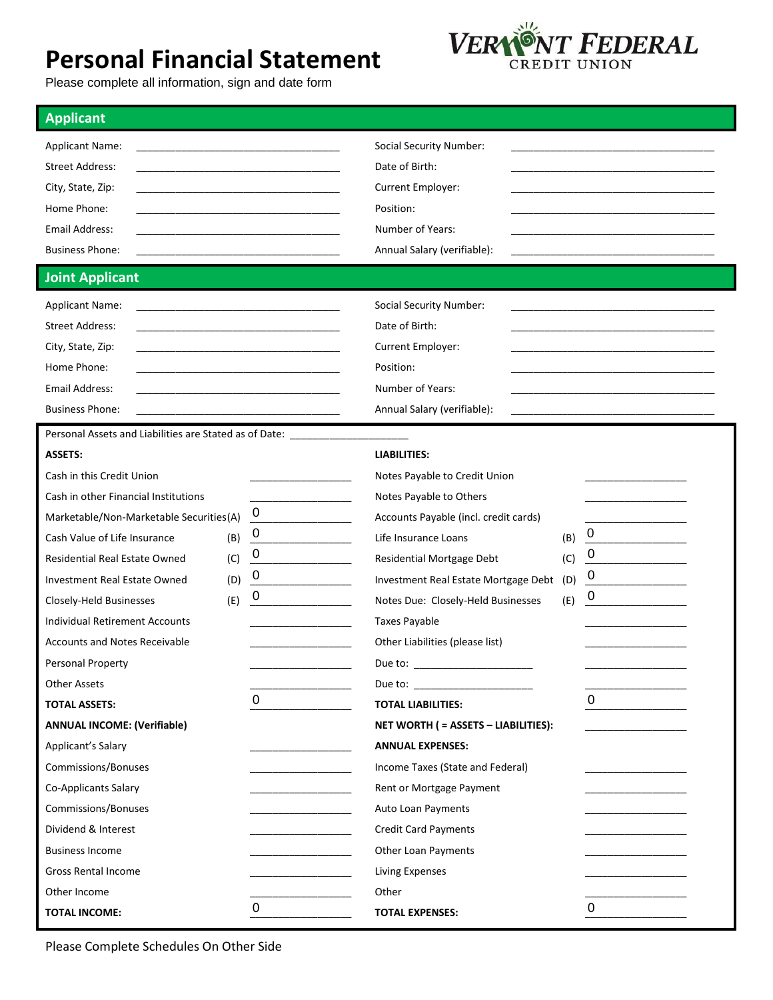## **Personal Financial Statement**



Please complete all information, sign and date form

| <b>Applicant</b>                                                     |                        |                                                                                                                                                                                                                                |     |                |
|----------------------------------------------------------------------|------------------------|--------------------------------------------------------------------------------------------------------------------------------------------------------------------------------------------------------------------------------|-----|----------------|
| <b>Applicant Name:</b>                                               |                        | Social Security Number:                                                                                                                                                                                                        |     |                |
| <b>Street Address:</b>                                               |                        | Date of Birth:                                                                                                                                                                                                                 |     |                |
| City, State, Zip:                                                    |                        | Current Employer:                                                                                                                                                                                                              |     |                |
| Home Phone:                                                          |                        | Position:                                                                                                                                                                                                                      |     |                |
| <b>Email Address:</b>                                                |                        | Number of Years:                                                                                                                                                                                                               |     |                |
| <b>Business Phone:</b>                                               |                        | Annual Salary (verifiable):                                                                                                                                                                                                    |     |                |
| <b>Joint Applicant</b>                                               |                        |                                                                                                                                                                                                                                |     |                |
| <b>Applicant Name:</b>                                               |                        | <b>Social Security Number:</b>                                                                                                                                                                                                 |     |                |
| <b>Street Address:</b>                                               |                        | Date of Birth:                                                                                                                                                                                                                 |     |                |
| City, State, Zip:                                                    |                        | Current Employer:                                                                                                                                                                                                              |     |                |
| Home Phone:                                                          |                        | Position:                                                                                                                                                                                                                      |     |                |
| <b>Email Address:</b>                                                |                        | Number of Years:                                                                                                                                                                                                               |     |                |
| <b>Business Phone:</b>                                               |                        | Annual Salary (verifiable):                                                                                                                                                                                                    |     |                |
| Personal Assets and Liabilities are Stated as of Date: _____________ |                        |                                                                                                                                                                                                                                |     |                |
| <b>ASSETS:</b>                                                       |                        | <b>LIABILITIES:</b>                                                                                                                                                                                                            |     |                |
| Cash in this Credit Union                                            |                        | Notes Payable to Credit Union                                                                                                                                                                                                  |     |                |
| Cash in other Financial Institutions                                 |                        | Notes Payable to Others                                                                                                                                                                                                        |     |                |
| Marketable/Non-Marketable Securities(A)                              | 0                      | Accounts Payable (incl. credit cards)                                                                                                                                                                                          |     |                |
| Cash Value of Life Insurance<br>(B)                                  | $\boldsymbol{0}$       | Life Insurance Loans                                                                                                                                                                                                           | (B) | $\overline{0}$ |
| <b>Residential Real Estate Owned</b><br>(C)                          | 0                      | Residential Mortgage Debt                                                                                                                                                                                                      | (C) | 0              |
| (D)<br>Investment Real Estate Owned                                  | $\mathbf 0$            | Investment Real Estate Mortgage Debt                                                                                                                                                                                           | (D) | $\cup$         |
| (E)<br>Closely-Held Businesses                                       | 0                      | Notes Due: Closely-Held Businesses                                                                                                                                                                                             | (E) | 0              |
| <b>Individual Retirement Accounts</b>                                |                        | Taxes Payable                                                                                                                                                                                                                  |     |                |
| <b>Accounts and Notes Receivable</b>                                 |                        | Other Liabilities (please list)                                                                                                                                                                                                |     |                |
| Personal Property                                                    |                        |                                                                                                                                                                                                                                |     |                |
| <b>Other Assets</b>                                                  |                        | Due to: the contract of the contract of the contract of the contract of the contract of the contract of the contract of the contract of the contract of the contract of the contract of the contract of the contract of the co |     |                |
| <b>TOTAL ASSETS:</b>                                                 | $\pmb{0}$              | <b>TOTAL LIABILITIES:</b>                                                                                                                                                                                                      |     | $\mathbf 0$    |
| <b>ANNUAL INCOME: (Verifiable)</b>                                   |                        | NET WORTH ( = ASSETS - LIABILITIES):                                                                                                                                                                                           |     |                |
| Applicant's Salary                                                   |                        | <b>ANNUAL EXPENSES:</b>                                                                                                                                                                                                        |     |                |
| Commissions/Bonuses                                                  |                        | Income Taxes (State and Federal)                                                                                                                                                                                               |     |                |
| Co-Applicants Salary                                                 |                        | Rent or Mortgage Payment                                                                                                                                                                                                       |     |                |
| Commissions/Bonuses                                                  |                        | Auto Loan Payments                                                                                                                                                                                                             |     |                |
| Dividend & Interest                                                  |                        | <b>Credit Card Payments</b>                                                                                                                                                                                                    |     |                |
| <b>Business Income</b>                                               | ______________________ | Other Loan Payments                                                                                                                                                                                                            |     |                |
| <b>Gross Rental Income</b>                                           |                        | Living Expenses                                                                                                                                                                                                                |     |                |
| Other Income                                                         |                        | Other                                                                                                                                                                                                                          |     |                |
| <b>TOTAL INCOME:</b>                                                 | 0                      | <b>TOTAL EXPENSES:</b>                                                                                                                                                                                                         |     | $\Omega$       |